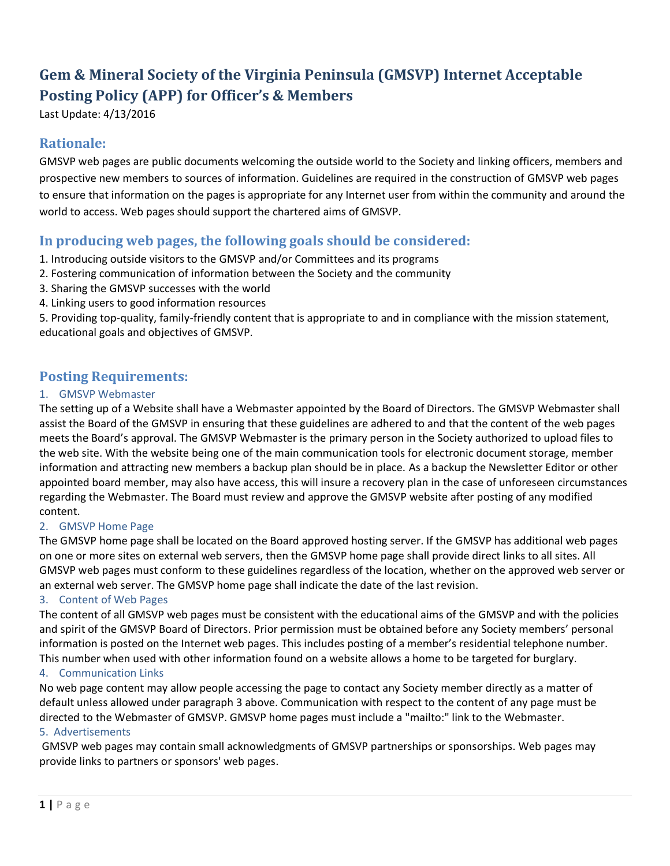# **Gem & Mineral Society of the Virginia Peninsula (GMSVP) Internet Acceptable Posting Policy (APP) for Officer's & Members**

Last Update: 4/13/2016

# **Rationale:**

GMSVP web pages are public documents welcoming the outside world to the Society and linking officers, members and prospective new members to sources of information. Guidelines are required in the construction of GMSVP web pages to ensure that information on the pages is appropriate for any Internet user from within the community and around the world to access. Web pages should support the chartered aims of GMSVP.

# **In producing web pages, the following goals should be considered:**

- 1. Introducing outside visitors to the GMSVP and/or Committees and its programs
- 2. Fostering communication of information between the Society and the community
- 3. Sharing the GMSVP successes with the world
- 4. Linking users to good information resources

5. Providing top-quality, family-friendly content that is appropriate to and in compliance with the mission statement, educational goals and objectives of GMSVP.

## **Posting Requirements:**

#### 1. GMSVP Webmaster

The setting up of a Website shall have a Webmaster appointed by the Board of Directors. The GMSVP Webmaster shall assist the Board of the GMSVP in ensuring that these guidelines are adhered to and that the content of the web pages meets the Board's approval. The GMSVP Webmaster is the primary person in the Society authorized to upload files to the web site. With the website being one of the main communication tools for electronic document storage, member information and attracting new members a backup plan should be in place. As a backup the Newsletter Editor or other appointed board member, may also have access, this will insure a recovery plan in the case of unforeseen circumstances regarding the Webmaster. The Board must review and approve the GMSVP website after posting of any modified content.

#### 2. GMSVP Home Page

The GMSVP home page shall be located on the Board approved hosting server. If the GMSVP has additional web pages on one or more sites on external web servers, then the GMSVP home page shall provide direct links to all sites. All GMSVP web pages must conform to these guidelines regardless of the location, whether on the approved web server or an external web server. The GMSVP home page shall indicate the date of the last revision.

#### 3. Content of Web Pages

The content of all GMSVP web pages must be consistent with the educational aims of the GMSVP and with the policies and spirit of the GMSVP Board of Directors. Prior permission must be obtained before any Society members' personal information is posted on the Internet web pages. This includes posting of a member's residential telephone number. This number when used with other information found on a website allows a home to be targeted for burglary.

### 4. Communication Links

No web page content may allow people accessing the page to contact any Society member directly as a matter of default unless allowed under paragraph 3 above. Communication with respect to the content of any page must be directed to the Webmaster of GMSVP. GMSVP home pages must include a "mailto:" link to the Webmaster.

#### 5. Advertisements

GMSVP web pages may contain small acknowledgments of GMSVP partnerships or sponsorships. Web pages may provide links to partners or sponsors' web pages.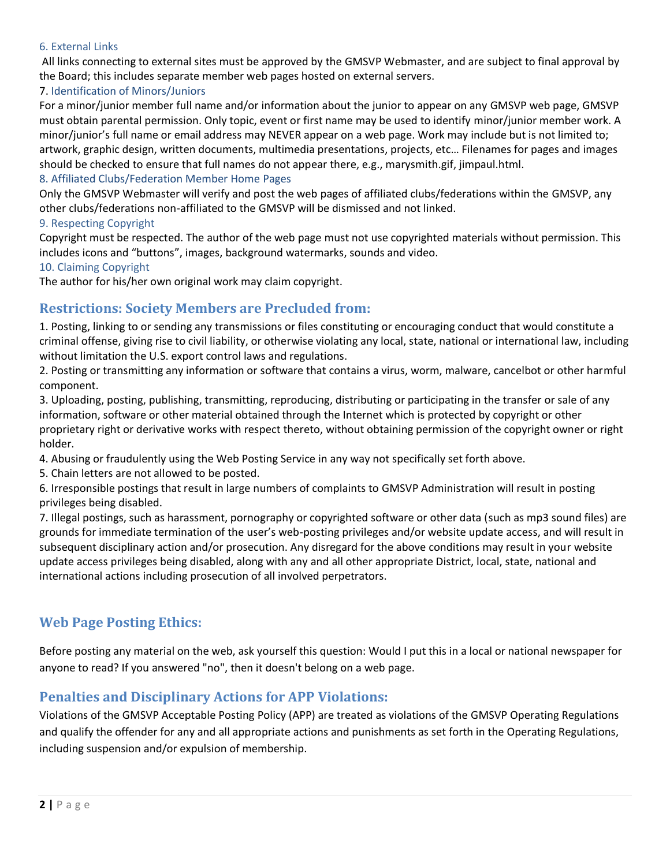#### 6. External Links

All links connecting to external sites must be approved by the GMSVP Webmaster, and are subject to final approval by the Board; this includes separate member web pages hosted on external servers.

#### 7. Identification of Minors/Juniors

For a minor/junior member full name and/or information about the junior to appear on any GMSVP web page, GMSVP must obtain parental permission. Only topic, event or first name may be used to identify minor/junior member work. A minor/junior's full name or email address may NEVER appear on a web page. Work may include but is not limited to; artwork, graphic design, written documents, multimedia presentations, projects, etc… Filenames for pages and images should be checked to ensure that full names do not appear there, e.g., marysmith.gif, jimpaul.html.

#### 8. Affiliated Clubs/Federation Member Home Pages

Only the GMSVP Webmaster will verify and post the web pages of affiliated clubs/federations within the GMSVP, any other clubs/federations non-affiliated to the GMSVP will be dismissed and not linked.

#### 9. Respecting Copyright

Copyright must be respected. The author of the web page must not use copyrighted materials without permission. This includes icons and "buttons", images, background watermarks, sounds and video.

#### 10. Claiming Copyright

The author for his/her own original work may claim copyright.

# **Restrictions: Society Members are Precluded from:**

1. Posting, linking to or sending any transmissions or files constituting or encouraging conduct that would constitute a criminal offense, giving rise to civil liability, or otherwise violating any local, state, national or international law, including without limitation the U.S. export control laws and regulations.

2. Posting or transmitting any information or software that contains a virus, worm, malware, cancelbot or other harmful component.

3. Uploading, posting, publishing, transmitting, reproducing, distributing or participating in the transfer or sale of any information, software or other material obtained through the Internet which is protected by copyright or other proprietary right or derivative works with respect thereto, without obtaining permission of the copyright owner or right holder.

4. Abusing or fraudulently using the Web Posting Service in any way not specifically set forth above.

5. Chain letters are not allowed to be posted.

6. Irresponsible postings that result in large numbers of complaints to GMSVP Administration will result in posting privileges being disabled.

7. Illegal postings, such as harassment, pornography or copyrighted software or other data (such as mp3 sound files) are grounds for immediate termination of the user's web-posting privileges and/or website update access, and will result in subsequent disciplinary action and/or prosecution. Any disregard for the above conditions may result in your website update access privileges being disabled, along with any and all other appropriate District, local, state, national and international actions including prosecution of all involved perpetrators.

## **Web Page Posting Ethics:**

Before posting any material on the web, ask yourself this question: Would I put this in a local or national newspaper for anyone to read? If you answered "no", then it doesn't belong on a web page.

## **Penalties and Disciplinary Actions for APP Violations:**

Violations of the GMSVP Acceptable Posting Policy (APP) are treated as violations of the GMSVP Operating Regulations and qualify the offender for any and all appropriate actions and punishments as set forth in the Operating Regulations, including suspension and/or expulsion of membership.